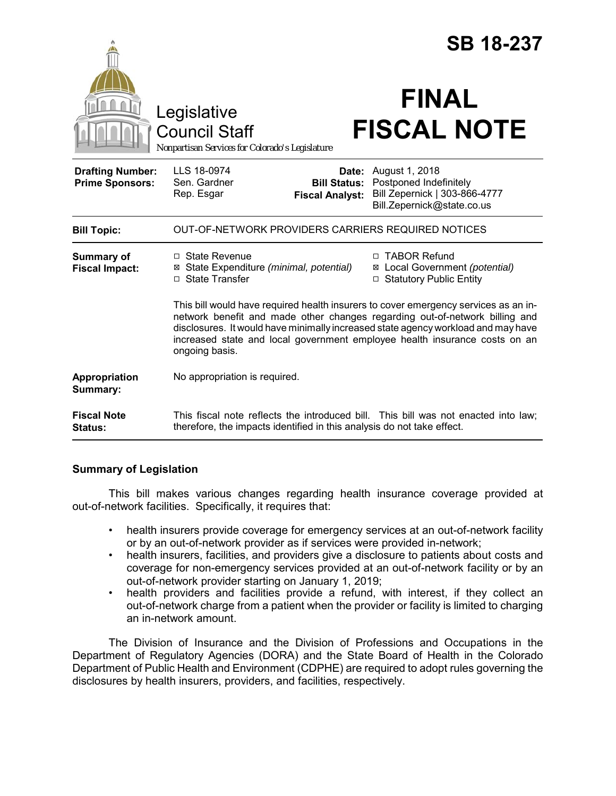|                                                   |                                                                                                                                                                                                                                                                                                                                                         | <b>SB 18-237</b>                                                                                        |
|---------------------------------------------------|---------------------------------------------------------------------------------------------------------------------------------------------------------------------------------------------------------------------------------------------------------------------------------------------------------------------------------------------------------|---------------------------------------------------------------------------------------------------------|
|                                                   | Legislative<br><b>Council Staff</b><br>Nonpartisan Services for Colorado's Legislature                                                                                                                                                                                                                                                                  | <b>FINAL</b><br><b>FISCAL NOTE</b>                                                                      |
| <b>Drafting Number:</b><br><b>Prime Sponsors:</b> | LLS 18-0974<br>Date:<br>Sen. Gardner<br><b>Bill Status:</b><br>Rep. Esgar<br><b>Fiscal Analyst:</b>                                                                                                                                                                                                                                                     | August 1, 2018<br>Postponed Indefinitely<br>Bill Zepernick   303-866-4777<br>Bill.Zepernick@state.co.us |
| <b>Bill Topic:</b>                                | OUT-OF-NETWORK PROVIDERS CARRIERS REQUIRED NOTICES                                                                                                                                                                                                                                                                                                      |                                                                                                         |
| <b>Summary of</b><br><b>Fiscal Impact:</b>        | $\Box$ State Revenue<br>⊠ State Expenditure (minimal, potential)<br>□ State Transfer                                                                                                                                                                                                                                                                    | □ TABOR Refund<br>⊠ Local Government (potential)<br>□ Statutory Public Entity                           |
|                                                   | This bill would have required health insurers to cover emergency services as an in-<br>network benefit and made other changes regarding out-of-network billing and<br>disclosures. It would have minimally increased state agency workload and may have<br>increased state and local government employee health insurance costs on an<br>ongoing basis. |                                                                                                         |
| Appropriation<br>Summary:                         | No appropriation is required.                                                                                                                                                                                                                                                                                                                           |                                                                                                         |
| <b>Fiscal Note</b><br>Status:                     | This fiscal note reflects the introduced bill. This bill was not enacted into law;<br>therefore, the impacts identified in this analysis do not take effect.                                                                                                                                                                                            |                                                                                                         |

# **Summary of Legislation**

This bill makes various changes regarding health insurance coverage provided at out-of-network facilities. Specifically, it requires that:

- health insurers provide coverage for emergency services at an out-of-network facility or by an out-of-network provider as if services were provided in-network;
- health insurers, facilities, and providers give a disclosure to patients about costs and coverage for non-emergency services provided at an out-of-network facility or by an out-of-network provider starting on January 1, 2019;
- health providers and facilities provide a refund, with interest, if they collect an out-of-network charge from a patient when the provider or facility is limited to charging an in-network amount.

The Division of Insurance and the Division of Professions and Occupations in the Department of Regulatory Agencies (DORA) and the State Board of Health in the Colorado Department of Public Health and Environment (CDPHE) are required to adopt rules governing the disclosures by health insurers, providers, and facilities, respectively.